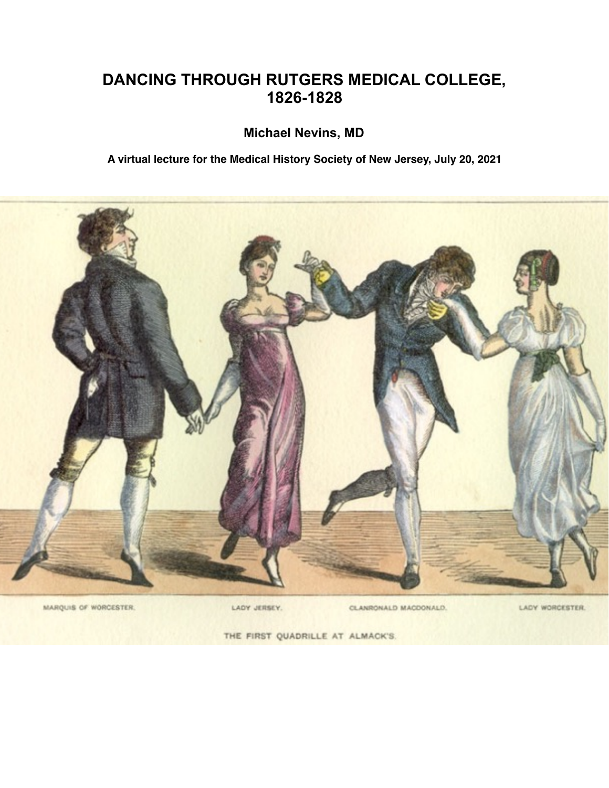## **DANCING THROUGH RUTGERS MEDICAL COLLEGE, 1826-1828**

## **Michael Nevins, MD**

**A virtual lecture for the Medical History Society of New Jersey, July 20, 2021**



LADY JERSEY.

CLANRONALD MACDONALD.

LADY WORCESTER.

THE FIRST QUADRILLE AT ALMACK'S.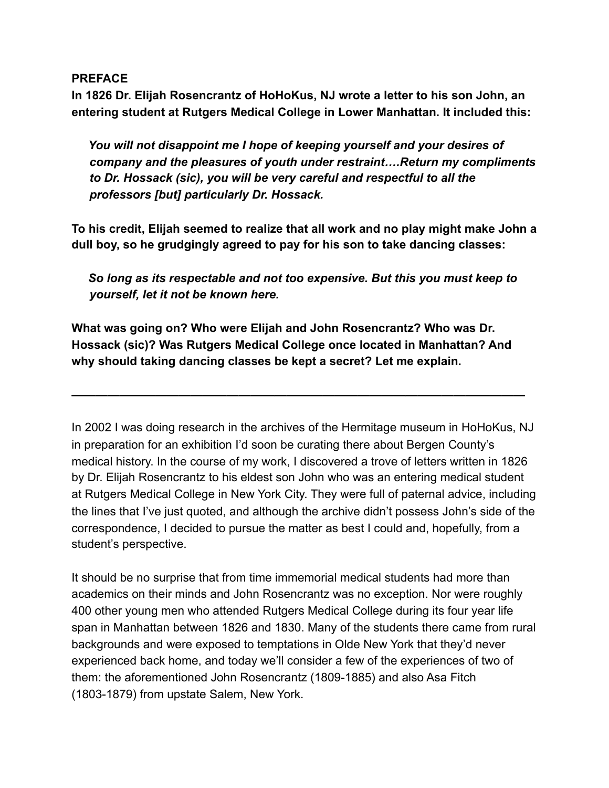## **PREFACE**

**In 1826 Dr. Elijah Rosencrantz of HoHoKus, NJ wrote a letter to his son John, an entering student at Rutgers Medical College in Lower Manhattan. It included this:** 

*You will not disappoint me I hope of keeping yourself and your desires of company and the pleasures of youth under restraint….Return my compliments to Dr. Hossack (sic), you will be very careful and respectful to all the professors [but] particularly Dr. Hossack.* 

**To his credit, Elijah seemed to realize that all work and no play might make John a dull boy, so he grudgingly agreed to pay for his son to take dancing classes:** 

*So long as its respectable and not too expensive. But this you must keep to yourself, let it not be known here.* 

**What was going on? Who were Elijah and John Rosencrantz? Who was Dr. Hossack (sic)? Was Rutgers Medical College once located in Manhattan? And why should taking dancing classes be kept a secret? Let me explain.** 

**——————————————————————————————————————** 

In 2002 I was doing research in the archives of the Hermitage museum in HoHoKus, NJ in preparation for an exhibition I'd soon be curating there about Bergen County's medical history. In the course of my work, I discovered a trove of letters written in 1826 by Dr. Elijah Rosencrantz to his eldest son John who was an entering medical student at Rutgers Medical College in New York City. They were full of paternal advice, including the lines that I've just quoted, and although the archive didn't possess John's side of the correspondence, I decided to pursue the matter as best I could and, hopefully, from a student's perspective.

It should be no surprise that from time immemorial medical students had more than academics on their minds and John Rosencrantz was no exception. Nor were roughly 400 other young men who attended Rutgers Medical College during its four year life span in Manhattan between 1826 and 1830. Many of the students there came from rural backgrounds and were exposed to temptations in Olde New York that they'd never experienced back home, and today we'll consider a few of the experiences of two of them: the aforementioned John Rosencrantz (1809-1885) and also Asa Fitch (1803-1879) from upstate Salem, New York.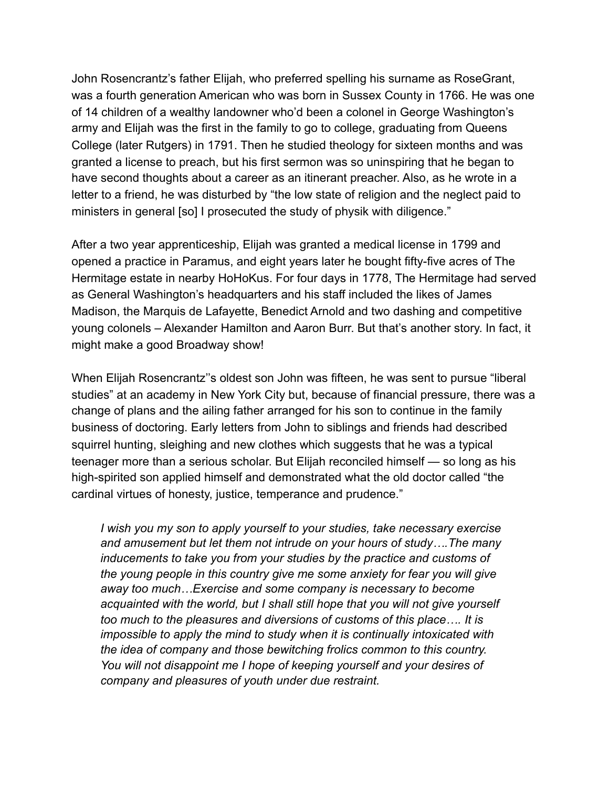John Rosencrantz's father Elijah, who preferred spelling his surname as RoseGrant, was a fourth generation American who was born in Sussex County in 1766. He was one of 14 children of a wealthy landowner who'd been a colonel in George Washington's army and Elijah was the first in the family to go to college, graduating from Queens College (later Rutgers) in 1791. Then he studied theology for sixteen months and was granted a license to preach, but his first sermon was so uninspiring that he began to have second thoughts about a career as an itinerant preacher. Also, as he wrote in a letter to a friend, he was disturbed by "the low state of religion and the neglect paid to ministers in general [so] I prosecuted the study of physik with diligence."

After a two year apprenticeship, Elijah was granted a medical license in 1799 and opened a practice in Paramus, and eight years later he bought fifty-five acres of The Hermitage estate in nearby HoHoKus. For four days in 1778, The Hermitage had served as General Washington's headquarters and his staff included the likes of James Madison, the Marquis de Lafayette, Benedict Arnold and two dashing and competitive young colonels – Alexander Hamilton and Aaron Burr. But that's another story. In fact, it might make a good Broadway show!

When Elijah Rosencrantz''s oldest son John was fifteen, he was sent to pursue "liberal studies" at an academy in New York City but, because of financial pressure, there was a change of plans and the ailing father arranged for his son to continue in the family business of doctoring. Early letters from John to siblings and friends had described squirrel hunting, sleighing and new clothes which suggests that he was a typical teenager more than a serious scholar. But Elijah reconciled himself — so long as his high-spirited son applied himself and demonstrated what the old doctor called "the cardinal virtues of honesty, justice, temperance and prudence."

*I wish you my son to apply yourself to your studies, take necessary exercise and amusement but let them not intrude on your hours of study….The many inducements to take you from your studies by the practice and customs of the young people in this country give me some anxiety for fear you will give away too much…Exercise and some company is necessary to become acquainted with the world, but I shall still hope that you will not give yourself too much to the pleasures and diversions of customs of this place…. It is impossible to apply the mind to study when it is continually intoxicated with the idea of company and those bewitching frolics common to this country. You will not disappoint me I hope of keeping yourself and your desires of company and pleasures of youth under due restraint.*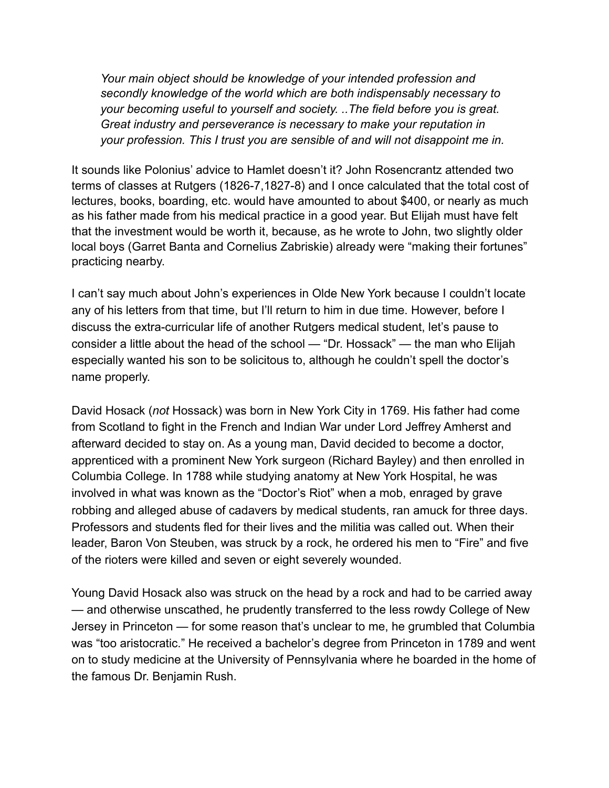*Your main object should be knowledge of your intended profession and secondly knowledge of the world which are both indispensably necessary to your becoming useful to yourself and society. ..The field before you is great. Great industry and perseverance is necessary to make your reputation in your profession. This I trust you are sensible of and will not disappoint me in.* 

It sounds like Polonius' advice to Hamlet doesn't it? John Rosencrantz attended two terms of classes at Rutgers (1826-7,1827-8) and I once calculated that the total cost of lectures, books, boarding, etc. would have amounted to about \$400, or nearly as much as his father made from his medical practice in a good year. But Elijah must have felt that the investment would be worth it, because, as he wrote to John, two slightly older local boys (Garret Banta and Cornelius Zabriskie) already were "making their fortunes" practicing nearby.

I can't say much about John's experiences in Olde New York because I couldn't locate any of his letters from that time, but I'll return to him in due time. However, before I discuss the extra-curricular life of another Rutgers medical student, let's pause to consider a little about the head of the school — "Dr. Hossack" — the man who Elijah especially wanted his son to be solicitous to, although he couldn't spell the doctor's name properly.

David Hosack (*not* Hossack) was born in New York City in 1769. His father had come from Scotland to fight in the French and Indian War under Lord Jeffrey Amherst and afterward decided to stay on. As a young man, David decided to become a doctor, apprenticed with a prominent New York surgeon (Richard Bayley) and then enrolled in Columbia College. In 1788 while studying anatomy at New York Hospital, he was involved in what was known as the "Doctor's Riot" when a mob, enraged by grave robbing and alleged abuse of cadavers by medical students, ran amuck for three days. Professors and students fled for their lives and the militia was called out. When their leader, Baron Von Steuben, was struck by a rock, he ordered his men to "Fire" and five of the rioters were killed and seven or eight severely wounded.

Young David Hosack also was struck on the head by a rock and had to be carried away — and otherwise unscathed, he prudently transferred to the less rowdy College of New Jersey in Princeton — for some reason that's unclear to me, he grumbled that Columbia was "too aristocratic." He received a bachelor's degree from Princeton in 1789 and went on to study medicine at the University of Pennsylvania where he boarded in the home of the famous Dr. Benjamin Rush.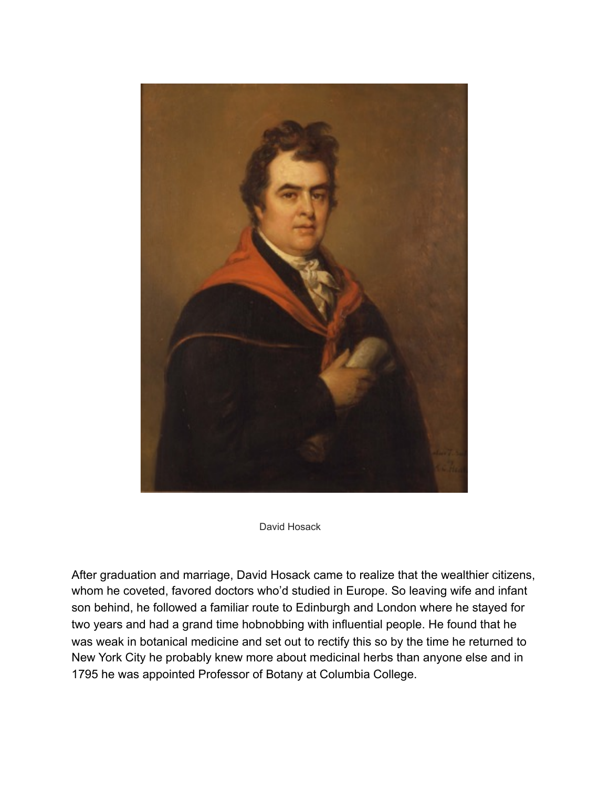

David Hosack

After graduation and marriage, David Hosack came to realize that the wealthier citizens, whom he coveted, favored doctors who'd studied in Europe. So leaving wife and infant son behind, he followed a familiar route to Edinburgh and London where he stayed for two years and had a grand time hobnobbing with influential people. He found that he was weak in botanical medicine and set out to rectify this so by the time he returned to New York City he probably knew more about medicinal herbs than anyone else and in 1795 he was appointed Professor of Botany at Columbia College.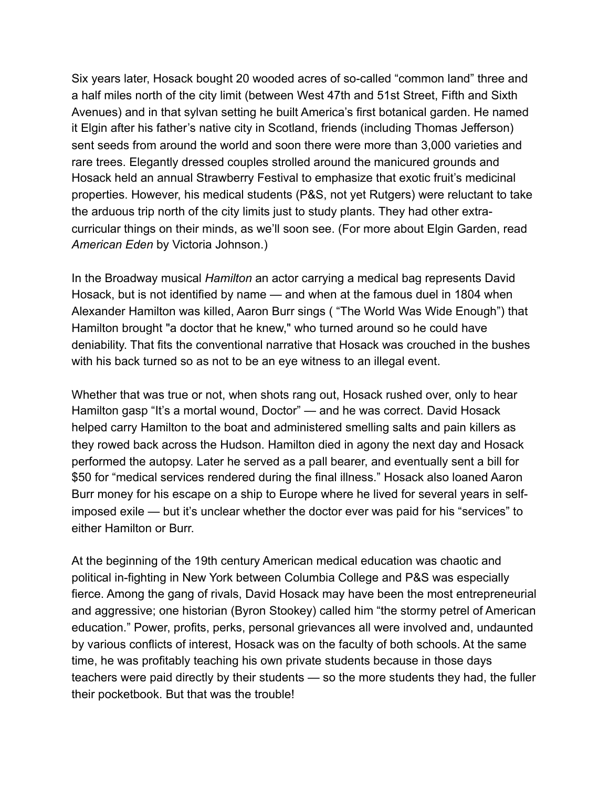Six years later, Hosack bought 20 wooded acres of so-called "common land" three and a half miles north of the city limit (between West 47th and 51st Street, Fifth and Sixth Avenues) and in that sylvan setting he built America's first botanical garden. He named it Elgin after his father's native city in Scotland, friends (including Thomas Jefferson) sent seeds from around the world and soon there were more than 3,000 varieties and rare trees. Elegantly dressed couples strolled around the manicured grounds and Hosack held an annual Strawberry Festival to emphasize that exotic fruit's medicinal properties. However, his medical students (P&S, not yet Rutgers) were reluctant to take the arduous trip north of the city limits just to study plants. They had other extracurricular things on their minds, as we'll soon see. (For more about Elgin Garden, read *American Eden* by Victoria Johnson.)

In the Broadway musical *Hamilton* an actor carrying a medical bag represents David Hosack, but is not identified by name — and when at the famous duel in 1804 when Alexander Hamilton was killed, Aaron Burr sings ( "The World Was Wide Enough") that Hamilton brought "a doctor that he knew," who turned around so he could have deniability. That fits the conventional narrative that Hosack was crouched in the bushes with his back turned so as not to be an eye witness to an illegal event.

Whether that was true or not, when shots rang out, Hosack rushed over, only to hear Hamilton gasp "It's a mortal wound, Doctor" — and he was correct. David Hosack helped carry Hamilton to the boat and administered smelling salts and pain killers as they rowed back across the Hudson. Hamilton died in agony the next day and Hosack performed the autopsy. Later he served as a pall bearer, and eventually sent a bill for \$50 for "medical services rendered during the final illness." Hosack also loaned Aaron Burr money for his escape on a ship to Europe where he lived for several years in selfimposed exile — but it's unclear whether the doctor ever was paid for his "services" to either Hamilton or Burr.

At the beginning of the 19th century American medical education was chaotic and political in-fighting in New York between Columbia College and P&S was especially fierce. Among the gang of rivals, David Hosack may have been the most entrepreneurial and aggressive; one historian (Byron Stookey) called him "the stormy petrel of American education." Power, profits, perks, personal grievances all were involved and, undaunted by various conflicts of interest, Hosack was on the faculty of both schools. At the same time, he was profitably teaching his own private students because in those days teachers were paid directly by their students — so the more students they had, the fuller their pocketbook. But that was the trouble!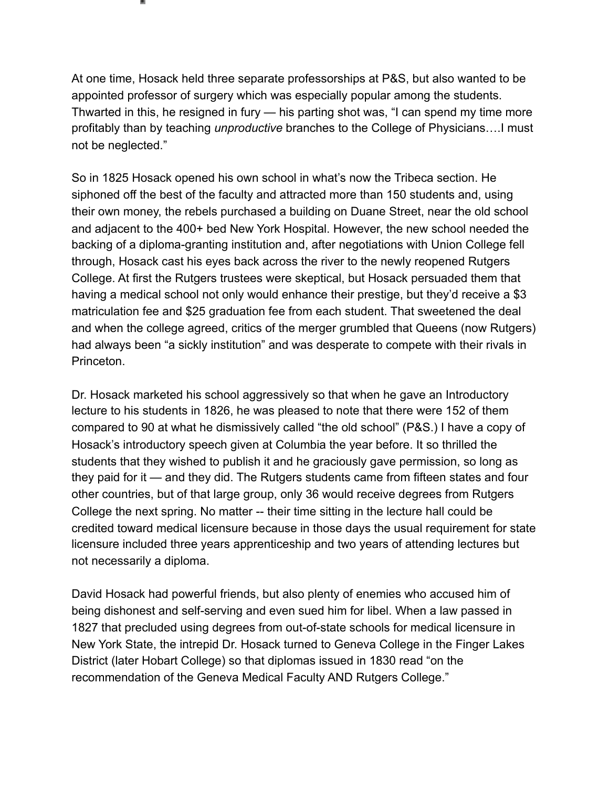At one time, Hosack held three separate professorships at P&S, but also wanted to be appointed professor of surgery which was especially popular among the students. Thwarted in this, he resigned in fury — his parting shot was, "I can spend my time more profitably than by teaching *unproductive* branches to the College of Physicians….I must not be neglected."

So in 1825 Hosack opened his own school in what's now the Tribeca section. He siphoned off the best of the faculty and attracted more than 150 students and, using their own money, the rebels purchased a building on Duane Street, near the old school and adjacent to the 400+ bed New York Hospital. However, the new school needed the backing of a diploma-granting institution and, after negotiations with Union College fell through, Hosack cast his eyes back across the river to the newly reopened Rutgers College. At first the Rutgers trustees were skeptical, but Hosack persuaded them that having a medical school not only would enhance their prestige, but they'd receive a \$3 matriculation fee and \$25 graduation fee from each student. That sweetened the deal and when the college agreed, critics of the merger grumbled that Queens (now Rutgers) had always been "a sickly institution" and was desperate to compete with their rivals in Princeton.

Dr. Hosack marketed his school aggressively so that when he gave an Introductory lecture to his students in 1826, he was pleased to note that there were 152 of them compared to 90 at what he dismissively called "the old school" (P&S.) I have a copy of Hosack's introductory speech given at Columbia the year before. It so thrilled the students that they wished to publish it and he graciously gave permission, so long as they paid for it — and they did. The Rutgers students came from fifteen states and four other countries, but of that large group, only 36 would receive degrees from Rutgers College the next spring. No matter -- their time sitting in the lecture hall could be credited toward medical licensure because in those days the usual requirement for state licensure included three years apprenticeship and two years of attending lectures but not necessarily a diploma.

David Hosack had powerful friends, but also plenty of enemies who accused him of being dishonest and self-serving and even sued him for libel. When a law passed in 1827 that precluded using degrees from out-of-state schools for medical licensure in New York State, the intrepid Dr. Hosack turned to Geneva College in the Finger Lakes District (later Hobart College) so that diplomas issued in 1830 read "on the recommendation of the Geneva Medical Faculty AND Rutgers College."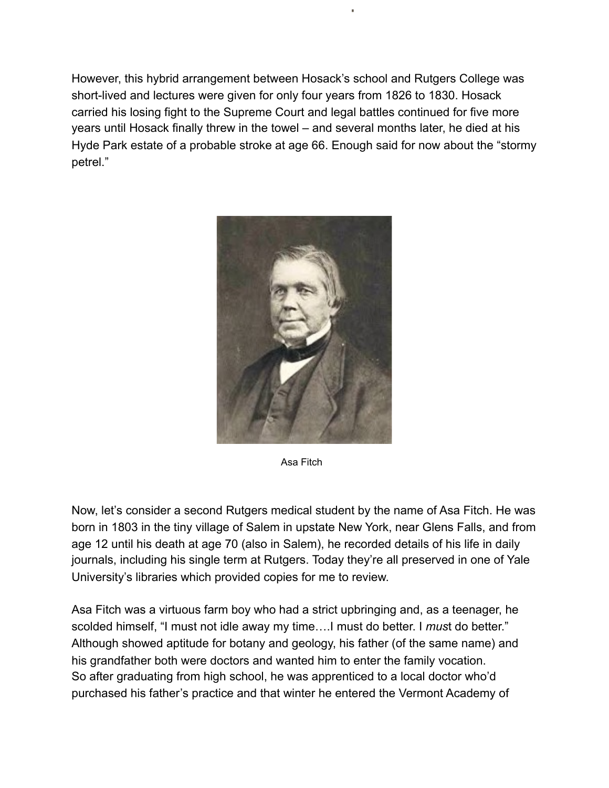However, this hybrid arrangement between Hosack's school and Rutgers College was short-lived and lectures were given for only four years from 1826 to 1830. Hosack carried his losing fight to the Supreme Court and legal battles continued for five more years until Hosack finally threw in the towel – and several months later, he died at his Hyde Park estate of a probable stroke at age 66. Enough said for now about the "stormy petrel."



Asa Fitch

Now, let's consider a second Rutgers medical student by the name of Asa Fitch. He was born in 1803 in the tiny village of Salem in upstate New York, near Glens Falls, and from age 12 until his death at age 70 (also in Salem), he recorded details of his life in daily journals, including his single term at Rutgers. Today they're all preserved in one of Yale University's libraries which provided copies for me to review.

Asa Fitch was a virtuous farm boy who had a strict upbringing and, as a teenager, he scolded himself, "I must not idle away my time….I must do better. I *mus*t do better." Although showed aptitude for botany and geology, his father (of the same name) and his grandfather both were doctors and wanted him to enter the family vocation. So after graduating from high school, he was apprenticed to a local doctor who'd purchased his father's practice and that winter he entered the Vermont Academy of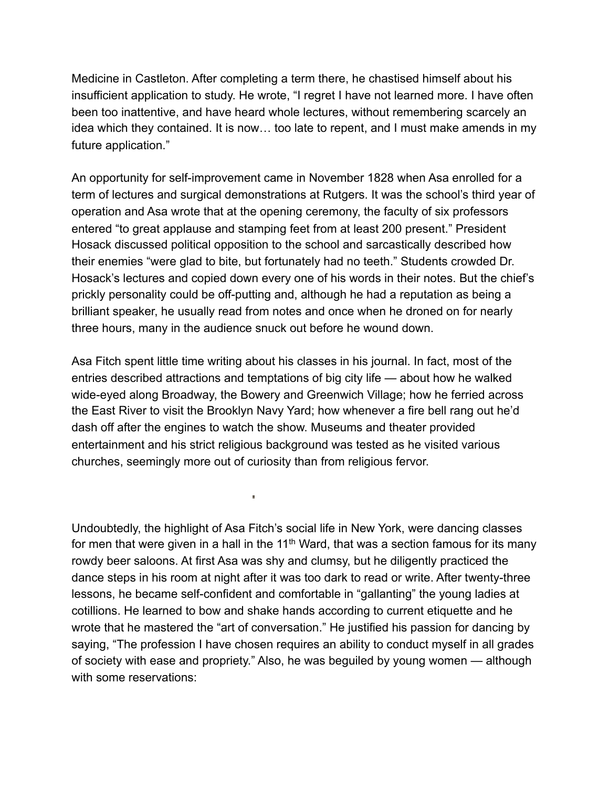Medicine in Castleton. After completing a term there, he chastised himself about his insufficient application to study. He wrote, "I regret I have not learned more. I have often been too inattentive, and have heard whole lectures, without remembering scarcely an idea which they contained. It is now… too late to repent, and I must make amends in my future application."

An opportunity for self-improvement came in November 1828 when Asa enrolled for a term of lectures and surgical demonstrations at Rutgers. It was the school's third year of operation and Asa wrote that at the opening ceremony, the faculty of six professors entered "to great applause and stamping feet from at least 200 present." President Hosack discussed political opposition to the school and sarcastically described how their enemies "were glad to bite, but fortunately had no teeth." Students crowded Dr. Hosack's lectures and copied down every one of his words in their notes. But the chief's prickly personality could be off-putting and, although he had a reputation as being a brilliant speaker, he usually read from notes and once when he droned on for nearly three hours, many in the audience snuck out before he wound down.

Asa Fitch spent little time writing about his classes in his journal. In fact, most of the entries described attractions and temptations of big city life — about how he walked wide-eyed along Broadway, the Bowery and Greenwich Village; how he ferried across the East River to visit the Brooklyn Navy Yard; how whenever a fire bell rang out he'd dash off after the engines to watch the show. Museums and theater provided entertainment and his strict religious background was tested as he visited various churches, seemingly more out of curiosity than from religious fervor.

i.

Undoubtedly, the highlight of Asa Fitch's social life in New York, were dancing classes for men that were given in a hall in the  $11<sup>th</sup>$  Ward, that was a section famous for its many rowdy beer saloons. At first Asa was shy and clumsy, but he diligently practiced the dance steps in his room at night after it was too dark to read or write. After twenty-three lessons, he became self-confident and comfortable in "gallanting" the young ladies at cotillions. He learned to bow and shake hands according to current etiquette and he wrote that he mastered the "art of conversation." He justified his passion for dancing by saying, "The profession I have chosen requires an ability to conduct myself in all grades of society with ease and propriety." Also, he was beguiled by young women — although with some reservations: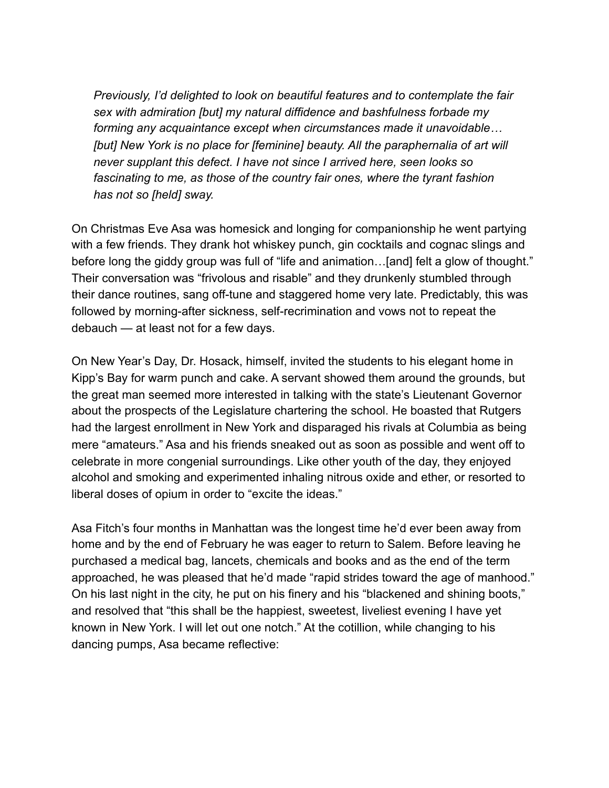*Previously, I'd delighted to look on beautiful features and to contemplate the fair sex with admiration [but] my natural diffidence and bashfulness forbade my forming any acquaintance except when circumstances made it unavoidable…* [but] New York is no place for [feminine] beauty. All the paraphernalia of art will *never supplant this defect. I have not since I arrived here, seen looks so fascinating to me, as those of the country fair ones, where the tyrant fashion has not so [held] sway.* 

On Christmas Eve Asa was homesick and longing for companionship he went partying with a few friends. They drank hot whiskey punch, gin cocktails and cognac slings and before long the giddy group was full of "life and animation...[and] felt a glow of thought." Their conversation was "frivolous and risable" and they drunkenly stumbled through their dance routines, sang off-tune and staggered home very late. Predictably, this was followed by morning-after sickness, self-recrimination and vows not to repeat the debauch — at least not for a few days.

On New Year's Day, Dr. Hosack, himself, invited the students to his elegant home in Kipp's Bay for warm punch and cake. A servant showed them around the grounds, but the great man seemed more interested in talking with the state's Lieutenant Governor about the prospects of the Legislature chartering the school. He boasted that Rutgers had the largest enrollment in New York and disparaged his rivals at Columbia as being mere "amateurs." Asa and his friends sneaked out as soon as possible and went off to celebrate in more congenial surroundings. Like other youth of the day, they enjoyed alcohol and smoking and experimented inhaling nitrous oxide and ether, or resorted to liberal doses of opium in order to "excite the ideas."

Asa Fitch's four months in Manhattan was the longest time he'd ever been away from home and by the end of February he was eager to return to Salem. Before leaving he purchased a medical bag, lancets, chemicals and books and as the end of the term approached, he was pleased that he'd made "rapid strides toward the age of manhood." On his last night in the city, he put on his finery and his "blackened and shining boots," and resolved that "this shall be the happiest, sweetest, liveliest evening I have yet known in New York. I will let out one notch." At the cotillion, while changing to his dancing pumps, Asa became reflective: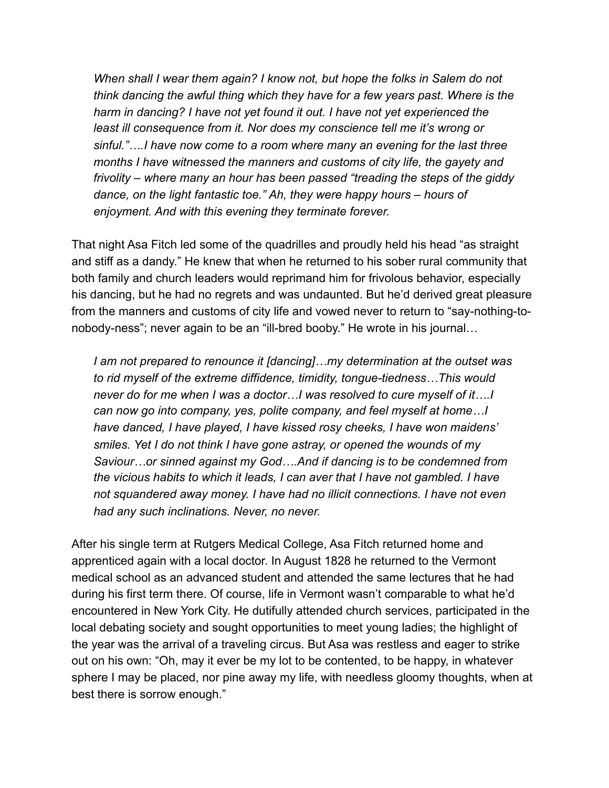*When shall I wear them again? I know not, but hope the folks in Salem do not think dancing the awful thing which they have for a few years past. Where is the harm in dancing? I have not yet found it out. I have not yet experienced the least ill consequence from it. Nor does my conscience tell me it's wrong or sinful."….I have now come to a room where many an evening for the last three months I have witnessed the manners and customs of city life, the gayety and frivolity – where many an hour has been passed "treading the steps of the giddy dance, on the light fantastic toe." Ah, they were happy hours – hours of enjoyment. And with this evening they terminate forever.* 

That night Asa Fitch led some of the quadrilles and proudly held his head "as straight and stiff as a dandy." He knew that when he returned to his sober rural community that both family and church leaders would reprimand him for frivolous behavior, especially his dancing, but he had no regrets and was undaunted. But he'd derived great pleasure from the manners and customs of city life and vowed never to return to "say-nothing-tonobody-ness"; never again to be an "ill-bred booby." He wrote in his journal…

*I am not prepared to renounce it [dancing]…my determination at the outset was to rid myself of the extreme diffidence, timidity, tongue-tiedness…This would never do for me when I was a doctor…I was resolved to cure myself of it….I can now go into company, yes, polite company, and feel myself at home…I have danced, I have played, I have kissed rosy cheeks, I have won maidens' smiles. Yet I do not think I have gone astray, or opened the wounds of my Saviour…or sinned against my God….And if dancing is to be condemned from the vicious habits to which it leads, I can aver that I have not gambled. I have not squandered away money. I have had no illicit connections. I have not even had any such inclinations. Never, no never.*

After his single term at Rutgers Medical College, Asa Fitch returned home and apprenticed again with a local doctor. In August 1828 he returned to the Vermont medical school as an advanced student and attended the same lectures that he had during his first term there. Of course, life in Vermont wasn't comparable to what he'd encountered in New York City. He dutifully attended church services, participated in the local debating society and sought opportunities to meet young ladies; the highlight of the year was the arrival of a traveling circus. But Asa was restless and eager to strike out on his own: "Oh, may it ever be my lot to be contented, to be happy, in whatever sphere I may be placed, nor pine away my life, with needless gloomy thoughts, when at best there is sorrow enough."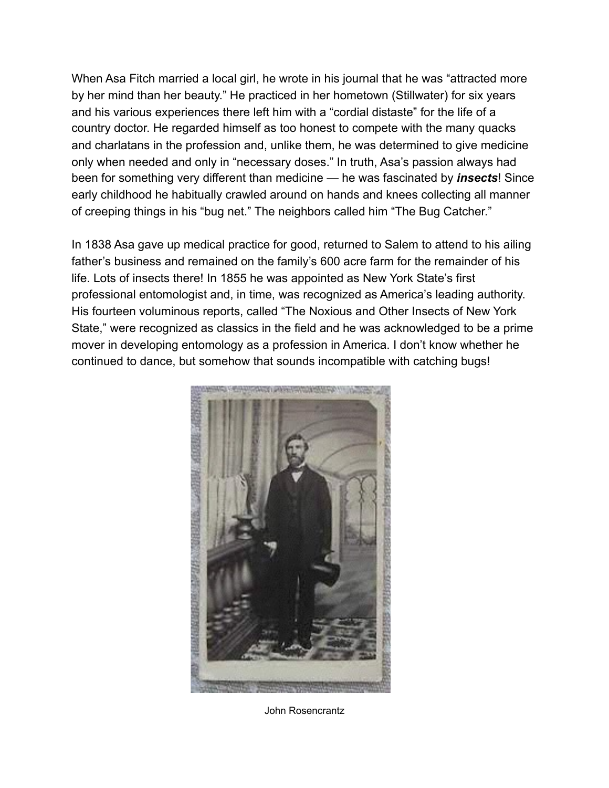When Asa Fitch married a local girl, he wrote in his journal that he was "attracted more by her mind than her beauty." He practiced in her hometown (Stillwater) for six years and his various experiences there left him with a "cordial distaste" for the life of a country doctor. He regarded himself as too honest to compete with the many quacks and charlatans in the profession and, unlike them, he was determined to give medicine only when needed and only in "necessary doses." In truth, Asa's passion always had been for something very different than medicine — he was fascinated by *insects*! Since early childhood he habitually crawled around on hands and knees collecting all manner of creeping things in his "bug net." The neighbors called him "The Bug Catcher."

In 1838 Asa gave up medical practice for good, returned to Salem to attend to his ailing father's business and remained on the family's 600 acre farm for the remainder of his life. Lots of insects there! In 1855 he was appointed as New York State's first professional entomologist and, in time, was recognized as America's leading authority. His fourteen voluminous reports, called "The Noxious and Other Insects of New York State," were recognized as classics in the field and he was acknowledged to be a prime mover in developing entomology as a profession in America. I don't know whether he continued to dance, but somehow that sounds incompatible with catching bugs!



John Rosencrantz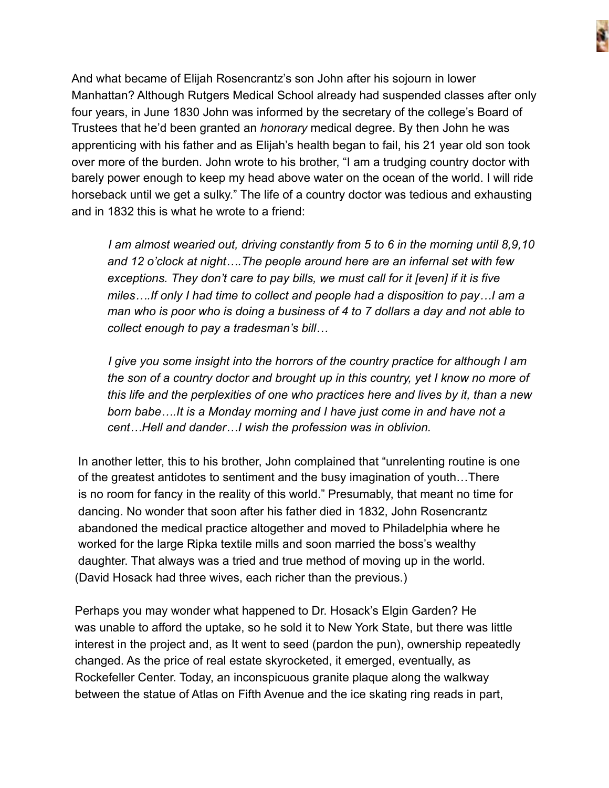

And what became of Elijah Rosencrantz's son John after his sojourn in lower Manhattan? Although Rutgers Medical School already had suspended classes after only four years, in June 1830 John was informed by the secretary of the college's Board of Trustees that he'd been granted an *honorary* medical degree. By then John he was apprenticing with his father and as Elijah's health began to fail, his 21 year old son took over more of the burden. John wrote to his brother, "I am a trudging country doctor with barely power enough to keep my head above water on the ocean of the world. I will ride horseback until we get a sulky." The life of a country doctor was tedious and exhausting and in 1832 this is what he wrote to a friend:

 *I am almost wearied out, driving constantly from 5 to 6 in the morning until 8,9,10 and 12 o'clock at night….The people around here are an infernal set with few exceptions. They don't care to pay bills, we must call for it [even] if it is five miles….If only I had time to collect and people had a disposition to pay…I am a man who is poor who is doing a business of 4 to 7 dollars a day and not able to collect enough to pay a tradesman's bill…*

 *I give you some insight into the horrors of the country practice for although I am the son of a country doctor and brought up in this country, yet I know no more of this life and the perplexities of one who practices here and lives by it, than a new born babe….It is a Monday morning and I have just come in and have not a cent…Hell and dander…I wish the profession was in oblivion.* 

In another letter, this to his brother, John complained that "unrelenting routine is one of the greatest antidotes to sentiment and the busy imagination of youth…There is no room for fancy in the reality of this world." Presumably, that meant no time for dancing. No wonder that soon after his father died in 1832, John Rosencrantz abandoned the medical practice altogether and moved to Philadelphia where he worked for the large Ripka textile mills and soon married the boss's wealthy daughter. That always was a tried and true method of moving up in the world. (David Hosack had three wives, each richer than the previous.)

 Perhaps you may wonder what happened to Dr. Hosack's Elgin Garden? He was unable to afford the uptake, so he sold it to New York State, but there was little interest in the project and, as It went to seed (pardon the pun), ownership repeatedly changed. As the price of real estate skyrocketed, it emerged, eventually, as Rockefeller Center. Today, an inconspicuous granite plaque along the walkway between the statue of Atlas on Fifth Avenue and the ice skating ring reads in part,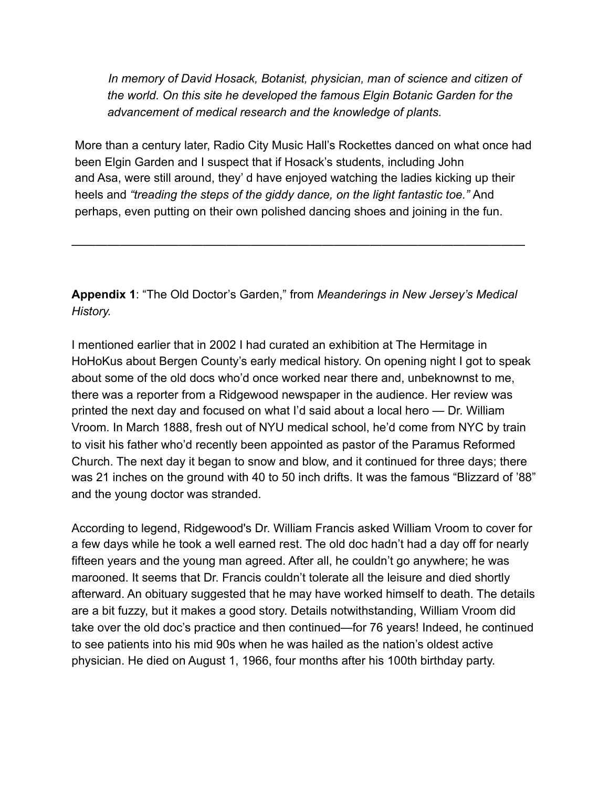*In memory of David Hosack, Botanist, physician, man of science and citizen of the world. On this site he developed the famous Elgin Botanic Garden for the advancement of medical research and the knowledge of plants.* 

More than a century later, Radio City Music Hall's Rockettes danced on what once had been Elgin Garden and I suspect that if Hosack's students, including John and Asa, were still around, they' d have enjoyed watching the ladies kicking up their heels and *"treading the steps of the giddy dance, on the light fantastic toe."* And perhaps, even putting on their own polished dancing shoes and joining in the fun.

**Appendix 1**: "The Old Doctor's Garden," from *Meanderings in New Jersey's Medical History.* 

——————————————————————————————————————

I mentioned earlier that in 2002 I had curated an exhibition at The Hermitage in HoHoKus about Bergen County's early medical history. On opening night I got to speak about some of the old docs who'd once worked near there and, unbeknownst to me, there was a reporter from a Ridgewood newspaper in the audience. Her review was printed the next day and focused on what I'd said about a local hero — Dr. William Vroom. In March 1888, fresh out of NYU medical school, he'd come from NYC by train to visit his father who'd recently been appointed as pastor of the Paramus Reformed Church. The next day it began to snow and blow, and it continued for three days; there was 21 inches on the ground with 40 to 50 inch drifts. It was the famous "Blizzard of '88" and the young doctor was stranded.

According to legend, Ridgewood's Dr. William Francis asked William Vroom to cover for a few days while he took a well earned rest. The old doc hadn't had a day off for nearly fifteen years and the young man agreed. After all, he couldn't go anywhere; he was marooned. It seems that Dr. Francis couldn't tolerate all the leisure and died shortly afterward. An obituary suggested that he may have worked himself to death. The details are a bit fuzzy, but it makes a good story. Details notwithstanding, William Vroom did take over the old doc's practice and then continued—for 76 years! Indeed, he continued to see patients into his mid 90s when he was hailed as the nation's oldest active physician. He died on August 1, 1966, four months after his 100th birthday party.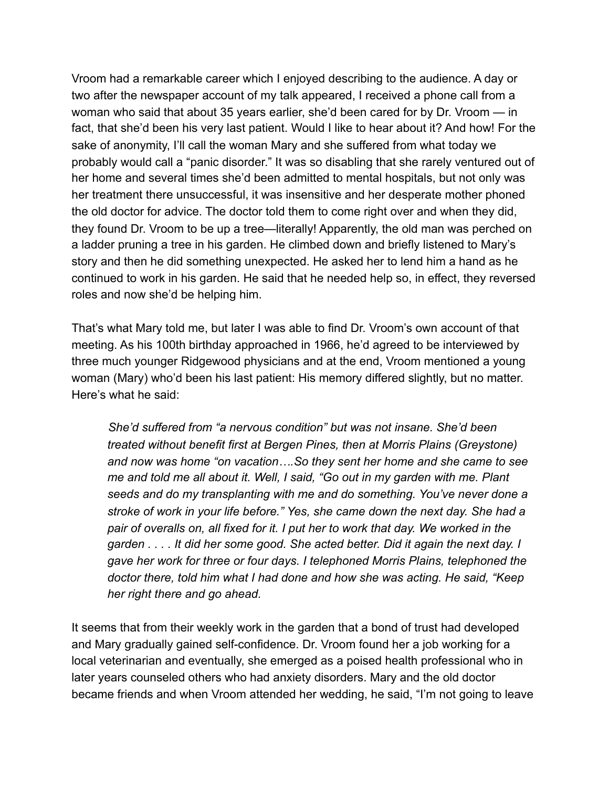Vroom had a remarkable career which I enjoyed describing to the audience. A day or two after the newspaper account of my talk appeared, I received a phone call from a woman who said that about 35 years earlier, she'd been cared for by Dr. Vroom — in fact, that she'd been his very last patient. Would I like to hear about it? And how! For the sake of anonymity, I'll call the woman Mary and she suffered from what today we probably would call a "panic disorder." It was so disabling that she rarely ventured out of her home and several times she'd been admitted to mental hospitals, but not only was her treatment there unsuccessful, it was insensitive and her desperate mother phoned the old doctor for advice. The doctor told them to come right over and when they did, they found Dr. Vroom to be up a tree—literally! Apparently, the old man was perched on a ladder pruning a tree in his garden. He climbed down and briefly listened to Mary's story and then he did something unexpected. He asked her to lend him a hand as he continued to work in his garden. He said that he needed help so, in effect, they reversed roles and now she'd be helping him.

That's what Mary told me, but later I was able to find Dr. Vroom's own account of that meeting. As his 100th birthday approached in 1966, he'd agreed to be interviewed by three much younger Ridgewood physicians and at the end, Vroom mentioned a young woman (Mary) who'd been his last patient: His memory differed slightly, but no matter. Here's what he said:

 *She'd suffered from "a nervous condition" but was not insane. She'd been treated without benefit first at Bergen Pines, then at Morris Plains (Greystone) and now was home "on vacation….So they sent her home and she came to see me and told me all about it. Well, I said, "Go out in my garden with me. Plant seeds and do my transplanting with me and do something. You've never done a stroke of work in your life before." Yes, she came down the next day. She had a*  pair of overalls on, all fixed for it. I put her to work that day. We worked in the *garden . . . . It did her some good. She acted better. Did it again the next day. I gave her work for three or four days. I telephoned Morris Plains, telephoned the doctor there, told him what I had done and how she was acting. He said, "Keep her right there and go ahead.* 

It seems that from their weekly work in the garden that a bond of trust had developed and Mary gradually gained self-confidence. Dr. Vroom found her a job working for a local veterinarian and eventually, she emerged as a poised health professional who in later years counseled others who had anxiety disorders. Mary and the old doctor became friends and when Vroom attended her wedding, he said, "I'm not going to leave